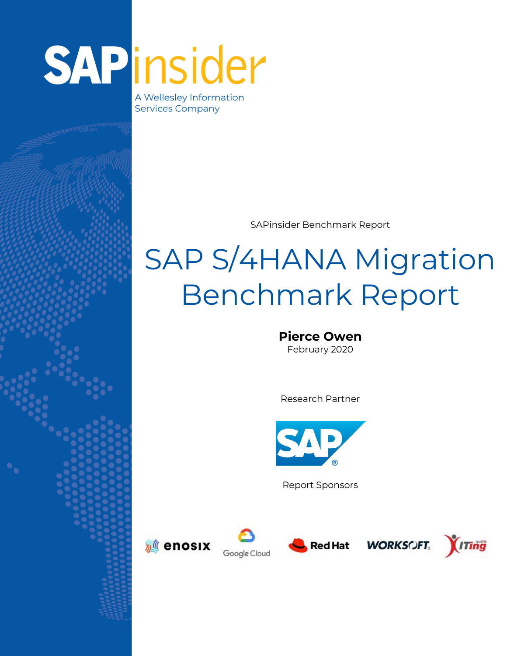# SAPinsider

A Wellesley Information **Services Company** 

SAPinsider Benchmark Report

## SAP S/4HANA Migration Benchmark Report

**Pierce Owen** February 2020

Research Partner



Report Sponsors













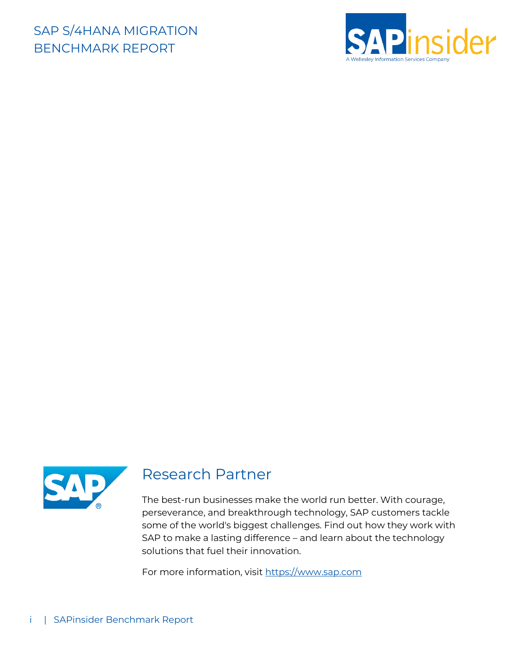



#### Research Partner

The best-run businesses make the world run better. With courage, perseverance, and breakthrough technology, SAP customers tackle some of the world's biggest challenges. Find out how they work with SAP to make a lasting difference – and learn about the technology solutions that fuel their innovation.

For more information, visit [https://www.sap.com](https://www.sap.com/)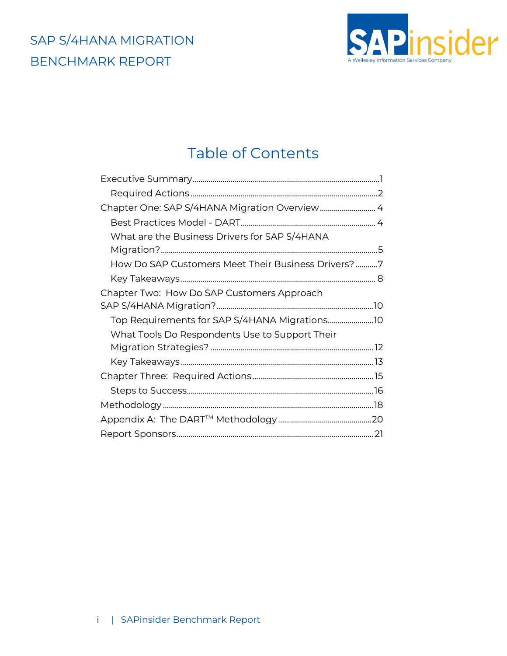

#### Table of Contents

| Chapter One: SAP S/4HANA Migration Overview4                                                    |  |
|-------------------------------------------------------------------------------------------------|--|
|                                                                                                 |  |
| What are the Business Drivers for SAP S/4HANA                                                   |  |
| How Do SAP Customers Meet Their Business Drivers?7                                              |  |
|                                                                                                 |  |
| Chapter Two: How Do SAP Customers Approach                                                      |  |
| Top Requirements for SAP S/4HANA Migrations10<br>What Tools Do Respondents Use to Support Their |  |
|                                                                                                 |  |
|                                                                                                 |  |
|                                                                                                 |  |
|                                                                                                 |  |
|                                                                                                 |  |
|                                                                                                 |  |
|                                                                                                 |  |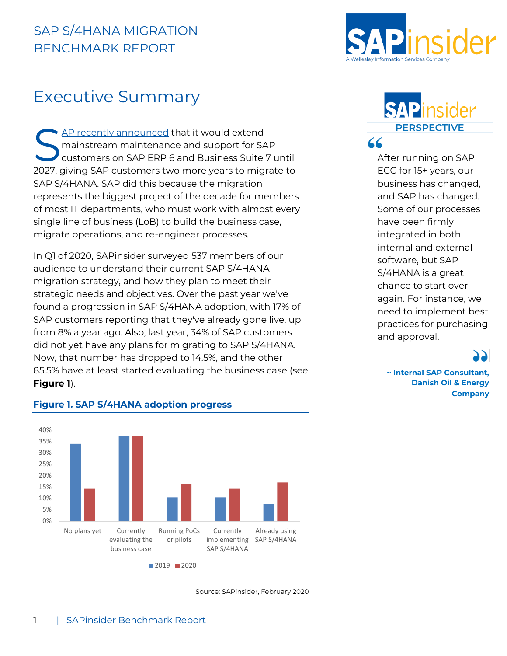

#### <span id="page-3-0"></span>Executive Summary

[AP recently](https://sapinsider.wispubs.com/Assets/Blogs/2020/February/ERP6-Maintenance-Extension) announced that it would extend mainstream maintenance and support for SAP customers on SAP ERP 6 and Business Suite 7 until 2027, giving SAP customers two more years to migrate to SAP S/4HANA. SAP did this because the migration represents the biggest project of the decade for members of most IT departments, who must work with almost every single line of business (LoB) to build the business case, migrate operations, and re-engineer processes. S AP recently announced that it would extend<br>
mainstream maintenance and support for SAP<br>
customers on SAP ERP 6 and Business Suite 7 until<br>
2027 aiving SAD sustamers two mars vers to migrate to suite to see FCC for 15 ver

In Q1 of 2020, SAPinsider surveyed 537 members of our audience to understand their current SAP S/4HANA migration strategy, and how they plan to meet their strategic needs and objectives. Over the past year we've found a progression in SAP S/4HANA adoption, with 17% of SAP customers reporting that they've already gone live, up from 8% a year ago. Also, last year, 34% of SAP customers did not yet have any plans for migrating to SAP S/4HANA. Now, that number has dropped to 14.5%, and the other 85.5% have at least started evaluating the business case (see **Figure 1**).

## **SAPin**

ECC for 15+ years, our business has changed, and SAP has changed. Some of our processes have been firmly integrated in both internal and external software, but SAP S/4HANA is a great chance to start over again. For instance, we need to implement best practices for purchasing and approval.

**~ Internal SAP Consultant, Danish Oil & Energy Company**



#### **Figure 1. SAP S/4HANA adoption progress**

Source: SAPinsider, February 2020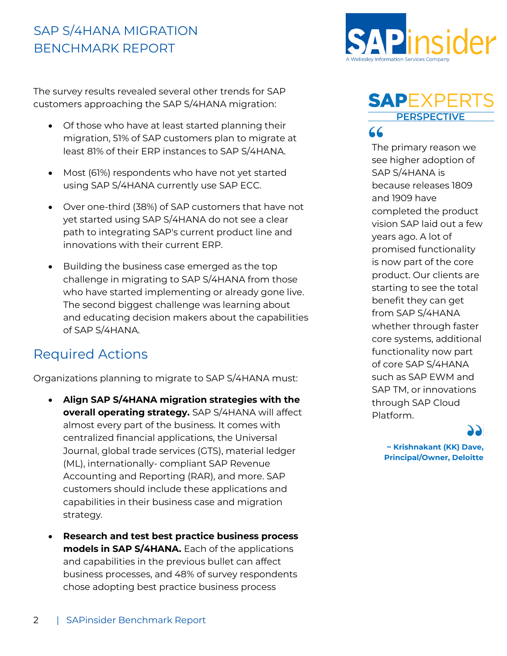The survey results revealed several other trends for SAP customers approaching the SAP S/4HANA migration:

- Of those who have at least started planning their migration, 51% of SAP customers plan to migrate at least 81% of their ERP instances to SAP S/4HANA.
- Most (61%) respondents who have not yet started using SAP S/4HANA currently use SAP ECC.
- Over one-third (38%) of SAP customers that have not yet started using SAP S/4HANA do not see a clear path to integrating SAP's current product line and innovations with their current ERP.
- Building the business case emerged as the top challenge in migrating to SAP S/4HANA from those who have started implementing or already gone live. The second biggest challenge was learning about and educating decision makers about the capabilities of SAP S/4HANA.

#### <span id="page-4-0"></span>Required Actions

Organizations planning to migrate to SAP S/4HANA must:

- **Align SAP S/4HANA migration strategies with the overall operating strategy.** SAP S/4HANA will affect almost every part of the business. It comes with centralized financial applications, the Universal Journal, global trade services (GTS), material ledger (ML), internationally- compliant SAP Revenue Accounting and Reporting (RAR), and more. SAP customers should include these applications and capabilities in their business case and migration strategy.
- **Research and test best practice business process models in SAP S/4HANA.** Each of the applications and capabilities in the previous bullet can affect business processes, and 48% of survey respondents chose adopting best practice business process



#### **SAPEXPERTS PERSPECTIVE** 66

The primary reason we see higher adoption of SAP S/4HANA is because releases 1809 and 1909 have completed the product vision SAP laid out a few years ago. A lot of promised functionality is now part of the core product. Our clients are starting to see the total benefit they can get from SAP S/4HANA whether through faster core systems, additional functionality now part of core SAP S/4HANA such as SAP EWM and SAP TM, or innovations through SAP Cloud Platform.

> **~ Krishnakant (KK) Dave, Principal/Owner, Deloitte**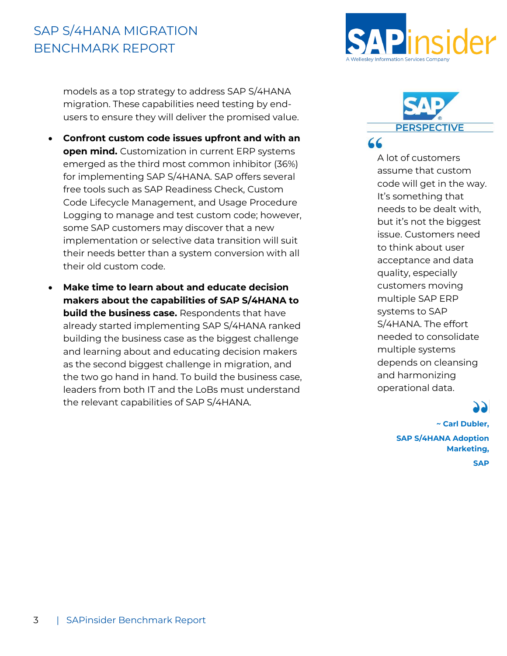models as a top strategy to address SAP S/4HANA migration. These capabilities need testing by endusers to ensure they will deliver the promised value.

- **Confront custom code issues upfront and with an open mind.** Customization in current ERP systems emerged as the third most common inhibitor (36%) for implementing SAP S/4HANA. SAP offers several free tools such as SAP Readiness Check, Custom Code Lifecycle Management, and Usage Procedure Logging to manage and test custom code; however, some SAP customers may discover that a new implementation or selective data transition will suit their needs better than a system conversion with all their old custom code.
- **Make time to learn about and educate decision makers about the capabilities of SAP S/4HANA to build the business case.** Respondents that have already started implementing SAP S/4HANA ranked building the business case as the biggest challenge and learning about and educating decision makers as the second biggest challenge in migration, and the two go hand in hand. To build the business case, leaders from both IT and the LoBs must understand the relevant capabilities of SAP S/4HANA.





A lot of customers assume that custom code will get in the way. It's something that needs to be dealt with, but it's not the biggest issue. Customers need to think about user acceptance and data quality, especially customers moving multiple SAP ERP systems to SAP S/4HANA. The effort needed to consolidate multiple systems depends on cleansing and harmonizing operational data.

**~ Carl Dubler, SAP S/4HANA Adoption Marketing, SAP**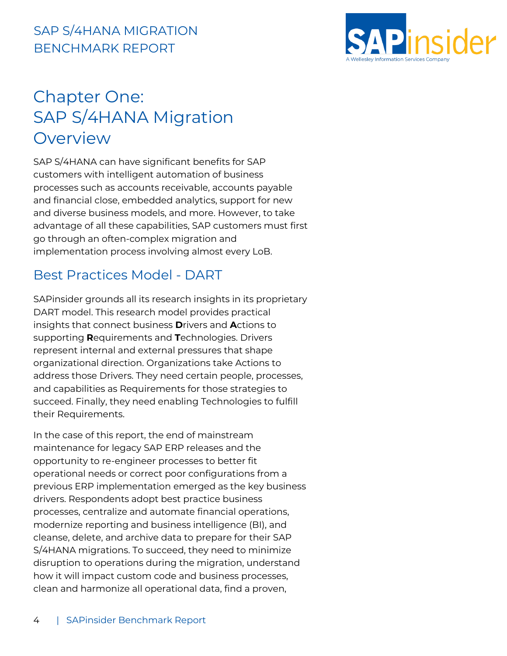

## <span id="page-6-0"></span>Chapter One: SAP S/4HANA Migration Overview

SAP S/4HANA can have significant benefits for SAP customers with intelligent automation of business processes such as accounts receivable, accounts payable and financial close, embedded analytics, support for new and diverse business models, and more. However, to take advantage of all these capabilities, SAP customers must first go through an often-complex migration and implementation process involving almost every LoB.

#### <span id="page-6-1"></span>Best Practices Model - DART

SAPinsider grounds all its research insights in its proprietary DART model. This research model provides practical insights that connect business **D**rivers and **A**ctions to supporting **R**equirements and **T**echnologies. Drivers represent internal and external pressures that shape organizational direction. Organizations take Actions to address those Drivers. They need certain people, processes, and capabilities as Requirements for those strategies to succeed. Finally, they need enabling Technologies to fulfill their Requirements.

In the case of this report, the end of mainstream maintenance for legacy SAP ERP releases and the opportunity to re-engineer processes to better fit operational needs or correct poor configurations from a previous ERP implementation emerged as the key business drivers. Respondents adopt best practice business processes, centralize and automate financial operations, modernize reporting and business intelligence (BI), and cleanse, delete, and archive data to prepare for their SAP S/4HANA migrations. To succeed, they need to minimize disruption to operations during the migration, understand how it will impact custom code and business processes, clean and harmonize all operational data, find a proven,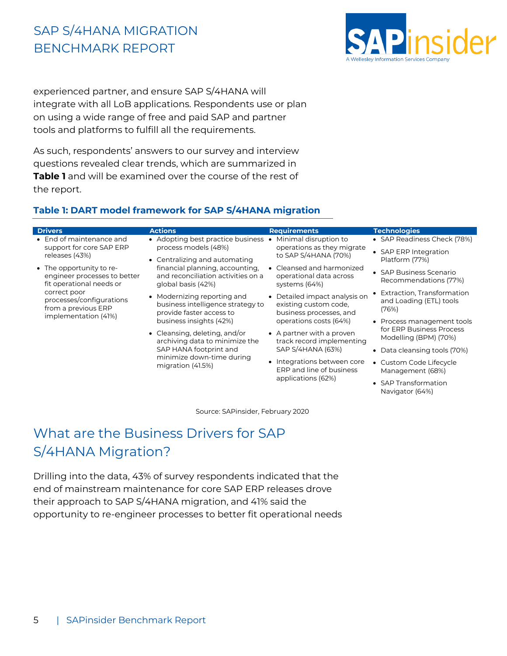

Navigator (64%)

experienced partner, and ensure SAP S/4HANA will integrate with all LoB applications. Respondents use or plan on using a wide range of free and paid SAP and partner tools and platforms to fulfill all the requirements.

As such, respondents' answers to our survey and interview questions revealed clear trends, which are summarized in **Table 1** and will be examined over the course of the rest of the report.

#### **Table 1: DART model framework for SAP S/4HANA migration**

| <b>Drivers</b>                                                                                                                                                                                                                                            | <b>Actions</b>                                                                                                                              | <b>Requirements</b>                                                               | <b>Technologies</b>                                              |
|-----------------------------------------------------------------------------------------------------------------------------------------------------------------------------------------------------------------------------------------------------------|---------------------------------------------------------------------------------------------------------------------------------------------|-----------------------------------------------------------------------------------|------------------------------------------------------------------|
| • End of maintenance and<br>support for core SAP ERP<br>releases (43%)<br>• The opportunity to re-<br>engineer processes to better<br>fit operational needs or<br>correct poor<br>processes/configurations<br>from a previous ERP<br>implementation (41%) | • Adopting best practice business •<br>process models (48%)<br>• Centralizing and automating                                                | Minimal disruption to<br>operations as they migrate<br>to SAP S/4HANA (70%)       | • SAP Readiness Check (78%)                                      |
|                                                                                                                                                                                                                                                           |                                                                                                                                             |                                                                                   | • SAP ERP Integration                                            |
|                                                                                                                                                                                                                                                           |                                                                                                                                             |                                                                                   | Platform (77%)                                                   |
|                                                                                                                                                                                                                                                           | financial planning, accounting,<br>and reconciliation activities on a<br>global basis (42%)                                                 | Cleansed and harmonized<br>operational data across<br>systems (64%)               | • SAP Business Scenario<br>Recommendations (77%)                 |
|                                                                                                                                                                                                                                                           | • Modernizing reporting and<br>business intelligence strategy to<br>provide faster access to                                                | • Detailed impact analysis on<br>existing custom code,<br>business processes, and | • Extraction, Transformation<br>and Loading (ETL) tools<br>(76%) |
|                                                                                                                                                                                                                                                           | business insights (42%)                                                                                                                     | operations costs (64%)                                                            | • Process management tools                                       |
|                                                                                                                                                                                                                                                           | • Cleansing, deleting, and/or<br>archiving data to minimize the<br>SAP HANA footprint and<br>minimize down-time during<br>migration (41.5%) | • A partner with a proven<br>track record implementing<br>SAP S/4HANA (63%)       | for ERP Business Process<br>Modelling (BPM) (70%)                |
|                                                                                                                                                                                                                                                           |                                                                                                                                             |                                                                                   | Data cleansing tools (70%)<br>$\bullet$                          |
|                                                                                                                                                                                                                                                           |                                                                                                                                             | • Integrations between core<br>ERP and line of business<br>applications (62%)     | • Custom Code Lifecycle<br>Management (68%)                      |
|                                                                                                                                                                                                                                                           |                                                                                                                                             |                                                                                   | • SAP Transformation                                             |

Source: SAPinsider, February 2020

#### <span id="page-7-0"></span>What are the Business Drivers for SAP S/4HANA Migration?

Drilling into the data, 43% of survey respondents indicated that the end of mainstream maintenance for core SAP ERP releases drove their approach to SAP S/4HANA migration, and 41% said the opportunity to re-engineer processes to better fit operational needs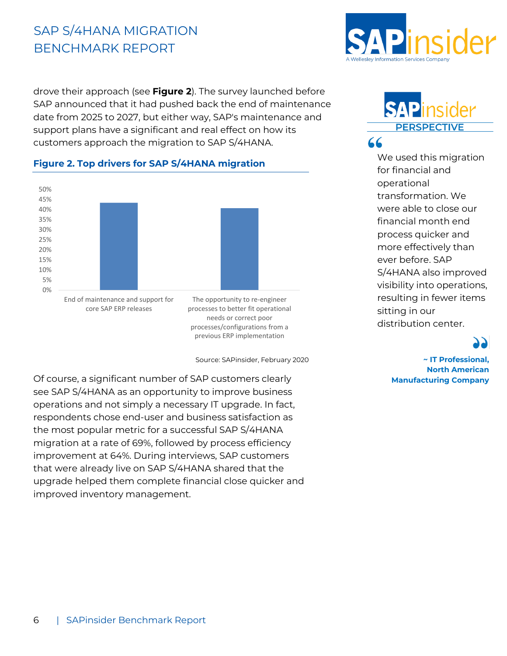drove their approach (see **Figure 2**). The survey launched before SAP announced that it had pushed back the end of maintenance date from 2025 to 2027, but either way, SAP's maintenance and support plans have a significant and real effect on how its customers approach the migration to SAP S/4HANA.

#### **Figure 2. Top drivers for SAP S/4HANA migration**



needs or correct poor processes/configurations from a previous ERP implementation

Source: SAPinsider, February 2020

Of course, a significant number of SAP customers clearly see SAP S/4HANA as an opportunity to improve business operations and not simply a necessary IT upgrade. In fact, respondents chose end-user and business satisfaction as the most popular metric for a successful SAP S/4HANA migration at a rate of 69%, followed by process efficiency improvement at 64%. During interviews, SAP customers that were already live on SAP S/4HANA shared that the upgrade helped them complete financial close quicker and improved inventory management.



#### **SAP**insider **PERSPECTIVE** 66

We used this migration for financial and operational transformation. We were able to close our financial month end process quicker and more effectively than ever before. SAP S/4HANA also improved visibility into operations, resulting in fewer items sitting in our distribution center.

**~ IT Professional, North American Manufacturing Company**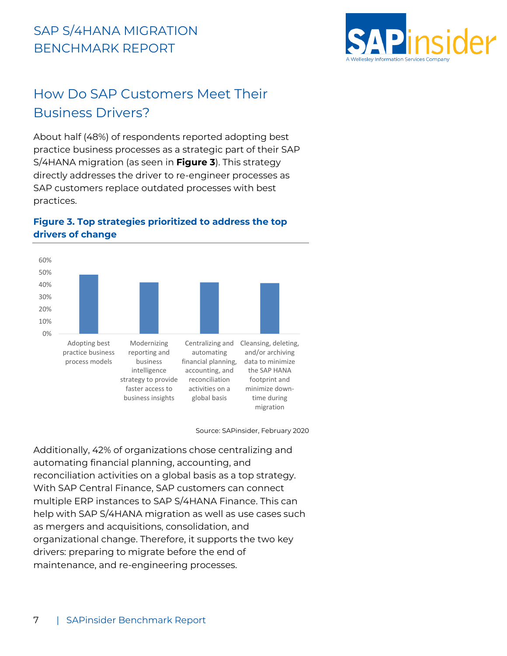

#### <span id="page-9-0"></span>How Do SAP Customers Meet Their Business Drivers?

About half (48%) of respondents reported adopting best practice business processes as a strategic part of their SAP S/4HANA migration (as seen in **Figure 3**). This strategy directly addresses the driver to re-engineer processes as SAP customers replace outdated processes with best practices.



#### **Figure 3. Top strategies prioritized to address the top drivers of change**

Source: SAPinsider, February 2020

Additionally, 42% of organizations chose centralizing and automating financial planning, accounting, and reconciliation activities on a global basis as a top strategy. With SAP Central Finance, SAP customers can connect multiple ERP instances to SAP S/4HANA Finance. This can help with SAP S/4HANA migration as well as use cases such as mergers and acquisitions, consolidation, and organizational change. Therefore, it supports the two key drivers: preparing to migrate before the end of maintenance, and re-engineering processes.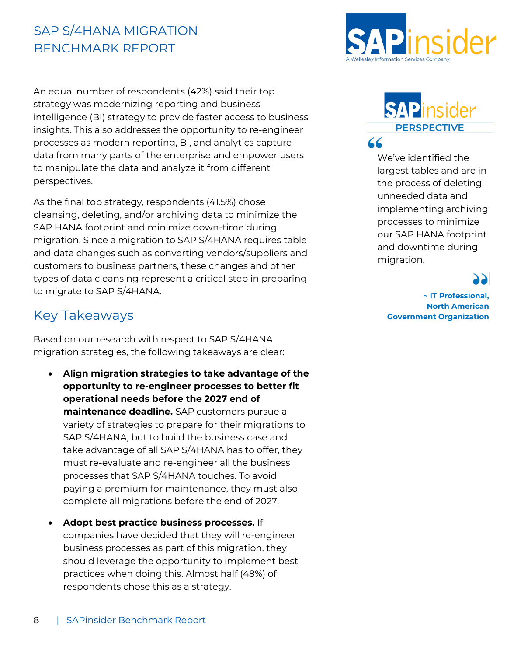An equal number of respondents (42%) said their top strategy was modernizing reporting and business intelligence (BI) strategy to provide faster access to business insights. This also addresses the opportunity to re-engineer processes as modern reporting, BI, and analytics capture data from many parts of the enterprise and empower users to manipulate the data and analyze it from different perspectives.

As the final top strategy, respondents (41.5%) chose cleansing, deleting, and/or archiving data to minimize the SAP HANA footprint and minimize down-time during migration. Since a migration to SAP S/4HANA requires table and data changes such as converting vendors/suppliers and customers to business partners, these changes and other types of data cleansing represent a critical step in preparing to migrate to SAP S/4HANA.

#### <span id="page-10-0"></span>Key Takeaways

Based on our research with respect to SAP S/4HANA migration strategies, the following takeaways are clear:

- **Align migration strategies to take advantage of the opportunity to re-engineer processes to better fit operational needs before the 2027 end of maintenance deadline.** SAP customers pursue a variety of strategies to prepare for their migrations to SAP S/4HANA, but to build the business case and take advantage of all SAP S/4HANA has to offer, they must re-evaluate and re-engineer all the business processes that SAP S/4HANA touches. To avoid paying a premium for maintenance, they must also complete all migrations before the end of 2027.
- **Adopt best practice business processes.** If companies have decided that they will re-engineer business processes as part of this migration, they should leverage the opportunity to implement best practices when doing this. Almost half (48%) of respondents chose this as a strategy.



#### SAPinsider **PERSPECTIVE** 66

We've identified the largest tables and are in the process of deleting unneeded data and implementing archiving processes to minimize our SAP HANA footprint and downtime during migration.

**~ IT Professional, North American Government Organization**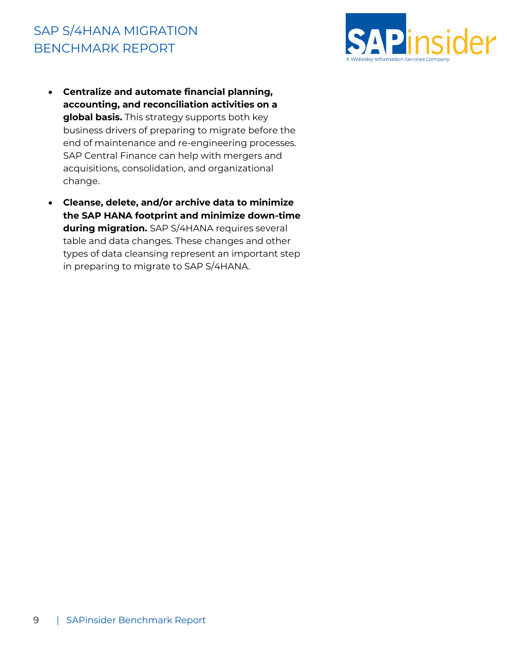

- **Centralize and automate financial planning, accounting, and reconciliation activities on a global basis.** This strategy supports both key business drivers of preparing to migrate before the end of maintenance and re-engineering processes. SAP Central Finance can help with mergers and acquisitions, consolidation, and organizational change.
- **Cleanse, delete, and/or archive data to minimize the SAP HANA footprint and minimize down-time during migration.** SAP S/4HANA requires several table and data changes. These changes and other types of data cleansing represent an important step in preparing to migrate to SAP S/4HANA.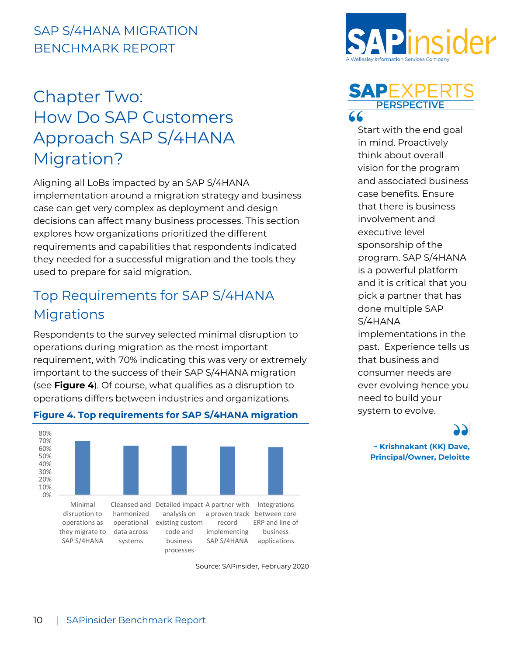### <span id="page-12-0"></span>Chapter Two: How Do SAP Customers Approach SAP S/4HANA Migration?

Aligning all LoBs impacted by an SAP S/4HANA implementation around a migration strategy and business case can get very complex as deployment and design decisions can affect many business processes. This section explores how organizations prioritized the different requirements and capabilities that respondents indicated they needed for a successful migration and the tools they used to prepare for said migration.

#### <span id="page-12-1"></span>Top Requirements for SAP S/4HANA **Migrations**

Respondents to the survey selected minimal disruption to operations during migration as the most important requirement, with 70% indicating this was very or extremely important to the success of their SAP S/4HANA migration (see **Figure 4**). Of course, what qualifies as a disruption to operations differs between industries and organizations.



#### **Figure 4. Top requirements for SAP S/4HANA migration**

Source: SAPinsider, February 2020





Start with the end goal in mind. Proactively think about overall vision for the program and associated business case benefits. Ensure that there is business involvement and executive level sponsorship of the program. SAP S/4HANA is a powerful platform and it is critical that you pick a partner that has done multiple SAP S/4HANA implementations in the

past. Experience tells us that business and consumer needs are ever evolving hence you need to build your system to evolve.

> **~ Krishnakant (KK) Dave, Principal/Owner, Deloitte**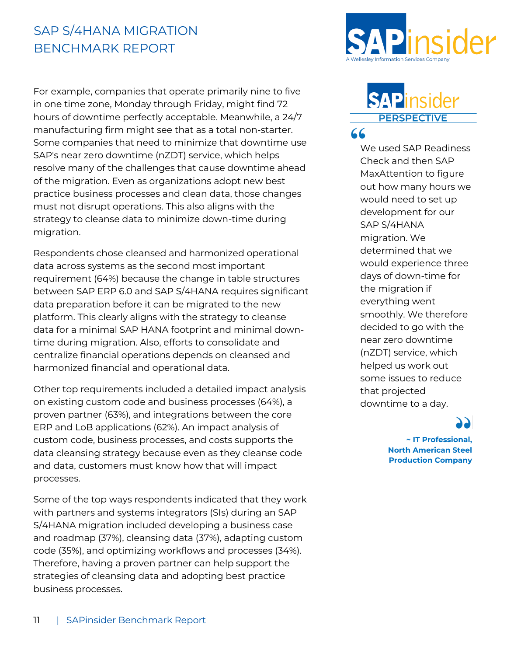For example, companies that operate primarily nine to five in one time zone, Monday through Friday, might find 72 hours of downtime perfectly acceptable. Meanwhile, a 24/7 manufacturing firm might see that as a total non-starter. Some companies that need to minimize that downtime use SAP's near zero downtime (nZDT) service, which helps resolve many of the challenges that cause downtime ahead of the migration. Even as organizations adopt new best practice business processes and clean data, those changes must not disrupt operations. This also aligns with the strategy to cleanse data to minimize down-time during migration.

Respondents chose cleansed and harmonized operational data across systems as the second most important requirement (64%) because the change in table structures between SAP ERP 6.0 and SAP S/4HANA requires significant data preparation before it can be migrated to the new platform. This clearly aligns with the strategy to cleanse data for a minimal SAP HANA footprint and minimal downtime during migration. Also, efforts to consolidate and centralize financial operations depends on cleansed and harmonized financial and operational data.

Other top requirements included a detailed impact analysis on existing custom code and business processes (64%), a proven partner (63%), and integrations between the core ERP and LoB applications (62%). An impact analysis of custom code, business processes, and costs supports the data cleansing strategy because even as they cleanse code and data, customers must know how that will impact processes.

Some of the top ways respondents indicated that they work with partners and systems integrators (SIs) during an SAP S/4HANA migration included developing a business case and roadmap (37%), cleansing data (37%), adapting custom code (35%), and optimizing workflows and processes (34%). Therefore, having a proven partner can help support the strategies of cleansing data and adopting best practice business processes.



#### **SAP**insider **PERSPECTIVE** 66

We used SAP Readiness Check and then SAP MaxAttention to figure out how many hours we would need to set up development for our SAP S/4HANA migration. We determined that we would experience three days of down-time for the migration if everything went smoothly. We therefore decided to go with the near zero downtime (nZDT) service, which helped us work out some issues to reduce that projected downtime to a day.

**~ IT Professional, North American Steel Production Company**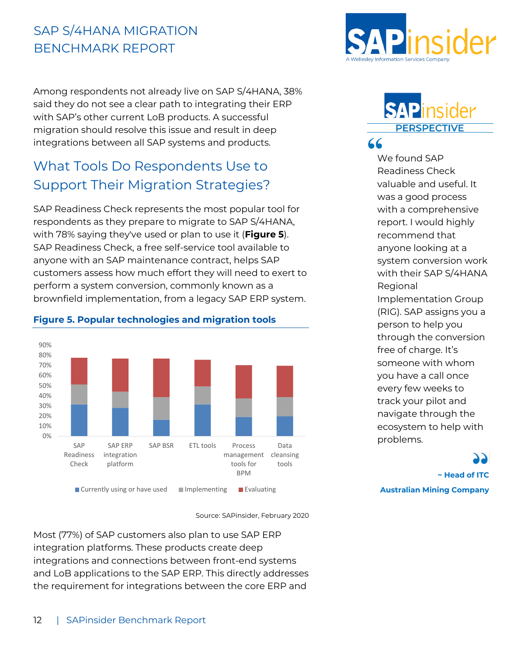Among respondents not already live on SAP S/4HANA, 38% said they do not see a clear path to integrating their ERP with SAP's other current LoB products. A successful migration should resolve this issue and result in deep integrations between all SAP systems and products.

#### <span id="page-14-0"></span>What Tools Do Respondents Use to Support Their Migration Strategies?

SAP Readiness Check represents the most popular tool for respondents as they prepare to migrate to SAP S/4HANA, with 78% saying they've used or plan to use it (**Figure 5**). SAP Readiness Check, a free self-service tool available to anyone with an SAP maintenance contract, helps SAP customers assess how much effort they will need to exert to perform a system conversion, commonly known as a brownfield implementation, from a legacy SAP ERP system.



#### **Figure 5. Popular technologies and migration tools**

Source: SAPinsider, February 2020

Most (77%) of SAP customers also plan to use SAP ERP integration platforms. These products create deep integrations and connections between front-end systems and LoB applications to the SAP ERP. This directly addresses the requirement for integrations between the core ERP and



#### **SADIT PERSPECTIVE** 66

We found SAP Readiness Check valuable and useful. It was a good process with a comprehensive report. I would highly recommend that anyone looking at a system conversion work with their SAP S/4HANA **Regional** Implementation Group (RIG). SAP assigns you a person to help you through the conversion free of charge. It's someone with whom you have a call once every few weeks to track your pilot and navigate through the ecosystem to help with problems.

**~ Head of ITC Australian Mining Company**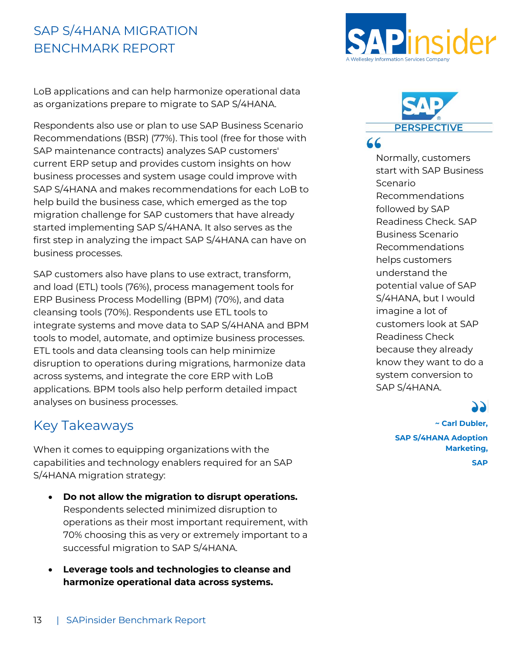LoB applications and can help harmonize operational data as organizations prepare to migrate to SAP S/4HANA.

Respondents also use or plan to use SAP Business Scenario Recommendations (BSR) (77%). This tool (free for those with SAP maintenance contracts) analyzes SAP customers' current ERP setup and provides custom insights on how business processes and system usage could improve with SAP S/4HANA and makes recommendations for each LoB to help build the business case, which emerged as the top migration challenge for SAP customers that have already started implementing SAP S/4HANA. It also serves as the first step in analyzing the impact SAP S/4HANA can have on business processes.

SAP customers also have plans to use extract, transform, and load (ETL) tools (76%), process management tools for ERP Business Process Modelling (BPM) (70%), and data cleansing tools (70%). Respondents use ETL tools to integrate systems and move data to SAP S/4HANA and BPM tools to model, automate, and optimize business processes. ETL tools and data cleansing tools can help minimize disruption to operations during migrations, harmonize data across systems, and integrate the core ERP with LoB applications. BPM tools also help perform detailed impact analyses on business processes.

#### <span id="page-15-0"></span>Key Takeaways

When it comes to equipping organizations with the capabilities and technology enablers required for an SAP S/4HANA migration strategy:

- **Do not allow the migration to disrupt operations.**  Respondents selected minimized disruption to operations as their most important requirement, with 70% choosing this as very or extremely important to a successful migration to SAP S/4HANA.
- **Leverage tools and technologies to cleanse and harmonize operational data across systems.**





Normally, customers start with SAP Business Scenario Recommendations followed by SAP Readiness Check. SAP Business Scenario Recommendations helps customers understand the potential value of SAP S/4HANA, but I would imagine a lot of customers look at SAP Readiness Check because they already know they want to do a system conversion to SAP S/4HANA.

**~ Carl Dubler,** 

**SAP S/4HANA Adoption Marketing, SAP**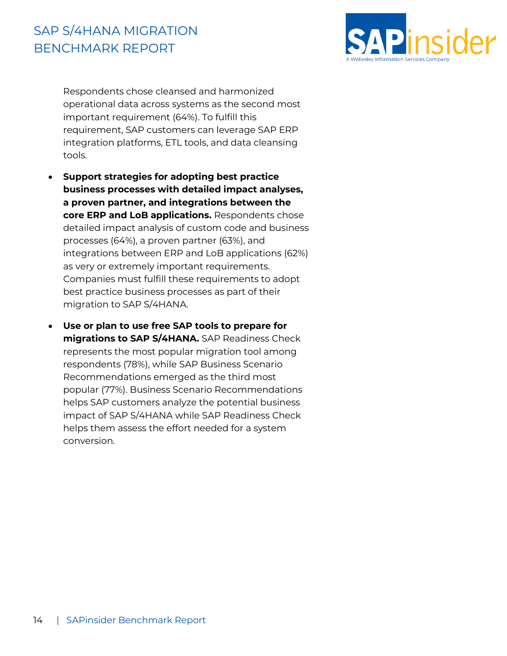

Respondents chose cleansed and harmonized operational data across systems as the second most important requirement (64%). To fulfill this requirement, SAP customers can leverage SAP ERP integration platforms, ETL tools, and data cleansing tools.

- **Support strategies for adopting best practice business processes with detailed impact analyses, a proven partner, and integrations between the core ERP and LoB applications.** Respondents chose detailed impact analysis of custom code and business processes (64%), a proven partner (63%), and integrations between ERP and LoB applications (62%) as very or extremely important requirements. Companies must fulfill these requirements to adopt best practice business processes as part of their migration to SAP S/4HANA.
- **Use or plan to use free SAP tools to prepare for migrations to SAP S/4HANA.** SAP Readiness Check represents the most popular migration tool among respondents (78%), while SAP Business Scenario Recommendations emerged as the third most popular (77%). Business Scenario Recommendations helps SAP customers analyze the potential business impact of SAP S/4HANA while SAP Readiness Check helps them assess the effort needed for a system conversion.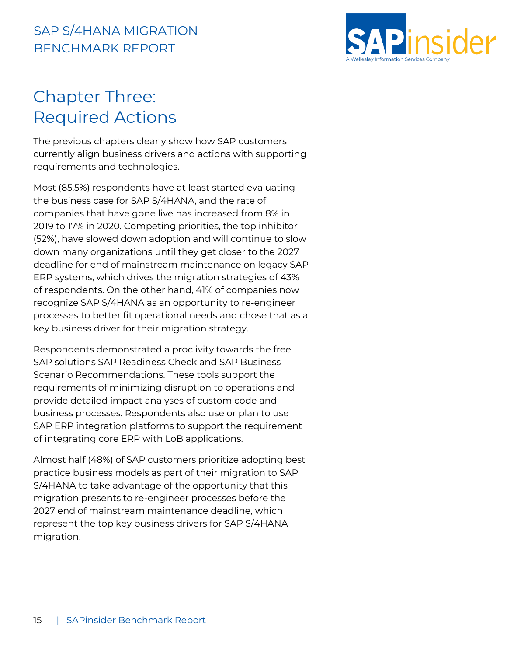

### <span id="page-17-0"></span>Chapter Three: Required Actions

The previous chapters clearly show how SAP customers currently align business drivers and actions with supporting requirements and technologies.

Most (85.5%) respondents have at least started evaluating the business case for SAP S/4HANA, and the rate of companies that have gone live has increased from 8% in 2019 to 17% in 2020. Competing priorities, the top inhibitor (52%), have slowed down adoption and will continue to slow down many organizations until they get closer to the 2027 deadline for end of mainstream maintenance on legacy SAP ERP systems, which drives the migration strategies of 43% of respondents. On the other hand, 41% of companies now recognize SAP S/4HANA as an opportunity to re-engineer processes to better fit operational needs and chose that as a key business driver for their migration strategy.

Respondents demonstrated a proclivity towards the free SAP solutions SAP Readiness Check and SAP Business Scenario Recommendations. These tools support the requirements of minimizing disruption to operations and provide detailed impact analyses of custom code and business processes. Respondents also use or plan to use SAP ERP integration platforms to support the requirement of integrating core ERP with LoB applications.

Almost half (48%) of SAP customers prioritize adopting best practice business models as part of their migration to SAP S/4HANA to take advantage of the opportunity that this migration presents to re-engineer processes before the 2027 end of mainstream maintenance deadline, which represent the top key business drivers for SAP S/4HANA migration.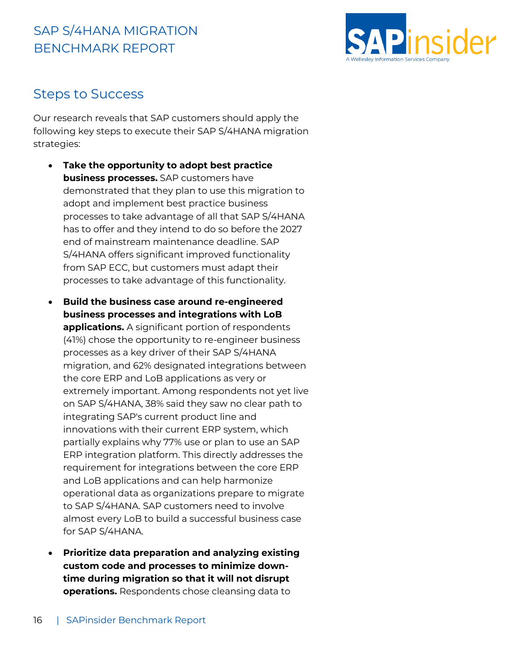

#### <span id="page-18-0"></span>Steps to Success

Our research reveals that SAP customers should apply the following key steps to execute their SAP S/4HANA migration strategies:

- **Take the opportunity to adopt best practice business processes.** SAP customers have demonstrated that they plan to use this migration to adopt and implement best practice business processes to take advantage of all that SAP S/4HANA has to offer and they intend to do so before the 2027 end of mainstream maintenance deadline. SAP S/4HANA offers significant improved functionality from SAP ECC, but customers must adapt their processes to take advantage of this functionality.
- **Build the business case around re-engineered business processes and integrations with LoB applications.** A significant portion of respondents (41%) chose the opportunity to re-engineer business processes as a key driver of their SAP S/4HANA migration, and 62% designated integrations between the core ERP and LoB applications as very or extremely important. Among respondents not yet live on SAP S/4HANA, 38% said they saw no clear path to integrating SAP's current product line and innovations with their current ERP system, which partially explains why 77% use or plan to use an SAP ERP integration platform. This directly addresses the requirement for integrations between the core ERP and LoB applications and can help harmonize operational data as organizations prepare to migrate to SAP S/4HANA. SAP customers need to involve almost every LoB to build a successful business case for SAP S/4HANA.
- **Prioritize data preparation and analyzing existing custom code and processes to minimize downtime during migration so that it will not disrupt operations.** Respondents chose cleansing data to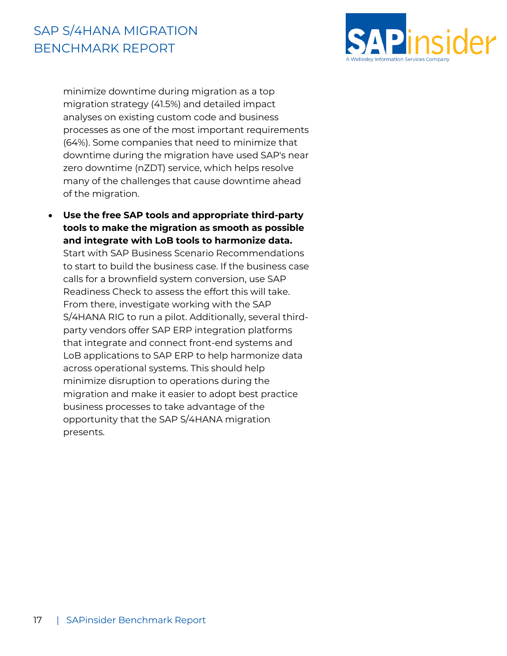

minimize downtime during migration as a top migration strategy (41.5%) and detailed impact analyses on existing custom code and business processes as one of the most important requirements (64%). Some companies that need to minimize that downtime during the migration have used SAP's near zero downtime (nZDT) service, which helps resolve many of the challenges that cause downtime ahead of the migration.

• **Use the free SAP tools and appropriate third-party tools to make the migration as smooth as possible and integrate with LoB tools to harmonize data.**  Start with SAP Business Scenario Recommendations to start to build the business case. If the business case calls for a brownfield system conversion, use SAP Readiness Check to assess the effort this will take. From there, investigate working with the SAP S/4HANA RIG to run a pilot. Additionally, several thirdparty vendors offer SAP ERP integration platforms that integrate and connect front-end systems and LoB applications to SAP ERP to help harmonize data across operational systems. This should help minimize disruption to operations during the migration and make it easier to adopt best practice business processes to take advantage of the opportunity that the SAP S/4HANA migration presents.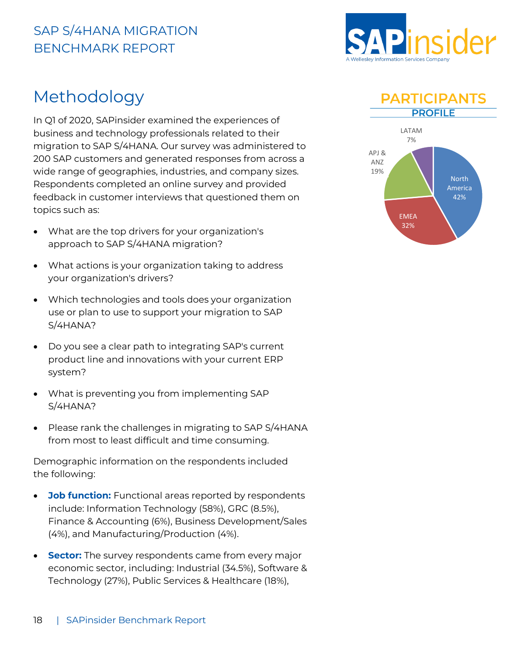

#### <span id="page-20-0"></span>Methodology

In Q1 of 2020, SAPinsider examined the experiences of business and technology professionals related to their migration to SAP S/4HANA. Our survey was administered to 200 SAP customers and generated responses from across a wide range of geographies, industries, and company sizes. Respondents completed an online survey and provided feedback in customer interviews that questioned them on topics such as:

- What are the top drivers for your organization's approach to SAP S/4HANA migration?
- What actions is your organization taking to address your organization's drivers?
- Which technologies and tools does your organization use or plan to use to support your migration to SAP S/4HANA?
- Do you see a clear path to integrating SAP's current product line and innovations with your current ERP system?
- What is preventing you from implementing SAP S/4HANA?
- Please rank the challenges in migrating to SAP S/4HANA from most to least difficult and time consuming.

Demographic information on the respondents included the following:

- **Job function:** Functional areas reported by respondents include: Information Technology (58%), GRC (8.5%), Finance & Accounting (6%), Business Development/Sales (4%), and Manufacturing/Production (4%).
- **Sector:** The survey respondents came from every major economic sector, including: Industrial (34.5%), Software & Technology (27%), Public Services & Healthcare (18%),



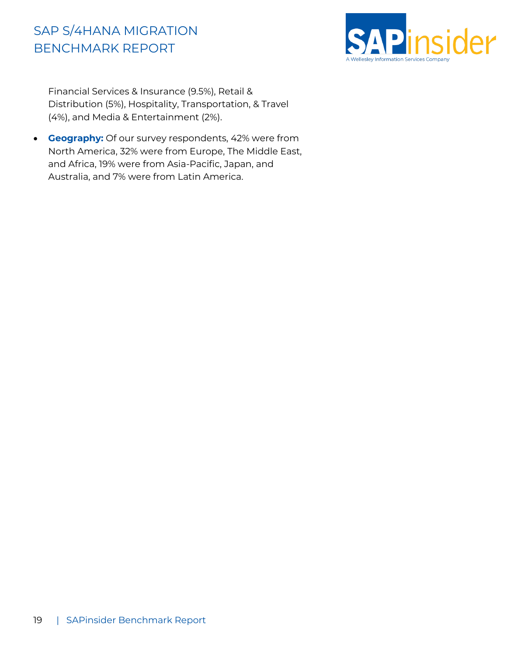

Financial Services & Insurance (9.5%), Retail & Distribution (5%), Hospitality, Transportation, & Travel (4%), and Media & Entertainment (2%).

• **Geography:** Of our survey respondents, 42% were from North America, 32% were from Europe, The Middle East, and Africa, 19% were from Asia-Pacific, Japan, and Australia, and 7% were from Latin America.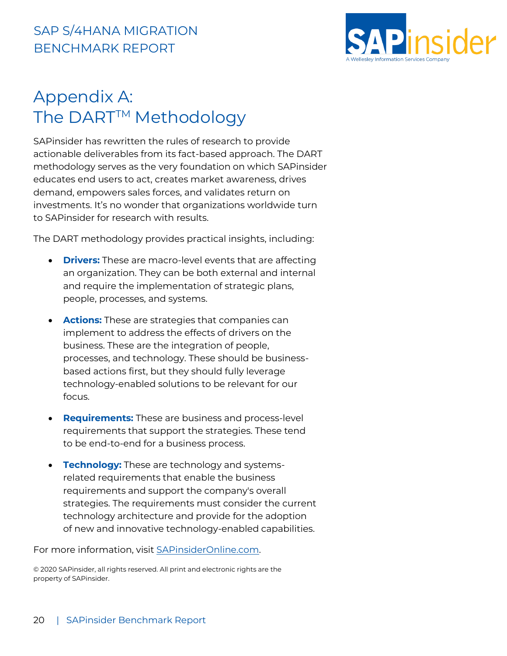

## <span id="page-22-0"></span>Appendix A: The DART<sup>™</sup> Methodology

SAPinsider has rewritten the rules of research to provide actionable deliverables from its fact-based approach. The DART methodology serves as the very foundation on which SAPinsider educates end users to act, creates market awareness, drives demand, empowers sales forces, and validates return on investments. It's no wonder that organizations worldwide turn to SAPinsider for research with results.

The DART methodology provides practical insights, including:

- **Drivers:** These are macro-level events that are affecting an organization. They can be both external and internal and require the implementation of strategic plans, people, processes, and systems.
- **Actions:** These are strategies that companies can implement to address the effects of drivers on the business. These are the integration of people, processes, and technology. These should be businessbased actions first, but they should fully leverage technology-enabled solutions to be relevant for our focus.
- **Requirements:** These are business and process-level requirements that support the strategies. These tend to be end-to-end for a business process.
- **Technology:** These are technology and systemsrelated requirements that enable the business requirements and support the company's overall strategies. The requirements must consider the current technology architecture and provide for the adoption of new and innovative technology-enabled capabilities.

For more information, visit [SAPinsiderOnline.com.](https://sapinsideronline.com/)

© 2020 SAPinsider, all rights reserved. All print and electronic rights are the property of SAPinsider.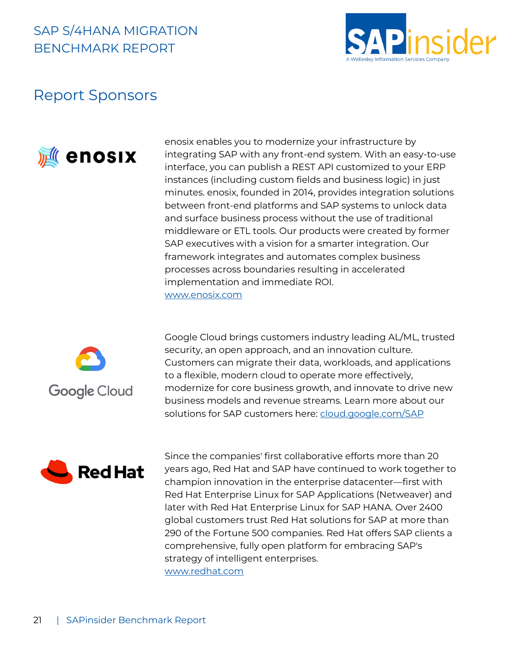

#### <span id="page-23-0"></span>Report Sponsors



enosix enables you to modernize your infrastructure by integrating SAP with any front-end system. With an easy-to-use interface, you can publish a REST API customized to your ERP instances (including custom fields and business logic) in just minutes. enosix, founded in 2014, provides integration solutions between front-end platforms and SAP systems to unlock data and surface business process without the use of traditional middleware or ETL tools. Our products were created by former SAP executives with a vision for a smarter integration. Our framework integrates and automates complex business processes across boundaries resulting in accelerated implementation and immediate ROI. [www.enosix.com](https://enosix.com/)



Google Cloud brings customers industry leading AL/ML, trusted security, an open approach, and an innovation culture. Customers can migrate their data, workloads, and applications to a flexible, modern cloud to operate more effectively, modernize for core business growth, and innovate to drive new business models and revenue streams. Learn more about our solutions for SAP customers here: [cloud.google.com/SAP](file:///C:/Users/powen/AppData/Local/Microsoft/Windows/INetCache/Content.Outlook/WCKUF1GQ/cloud.google.com/SAP)



Since the companies' first collaborative efforts more than 20 years ago, Red Hat and SAP have continued to work together to champion innovation in the enterprise datacenter—first with Red Hat Enterprise Linux for SAP Applications (Netweaver) and later with Red Hat Enterprise Linux for SAP HANA. Over 2400 global customers trust Red Hat solutions for SAP at more than 290 of the Fortune 500 companies. Red Hat offers SAP clients a comprehensive, fully open platform for embracing SAP's strategy of intelligent enterprises. [www.redhat.com](https://www.redhat.com/)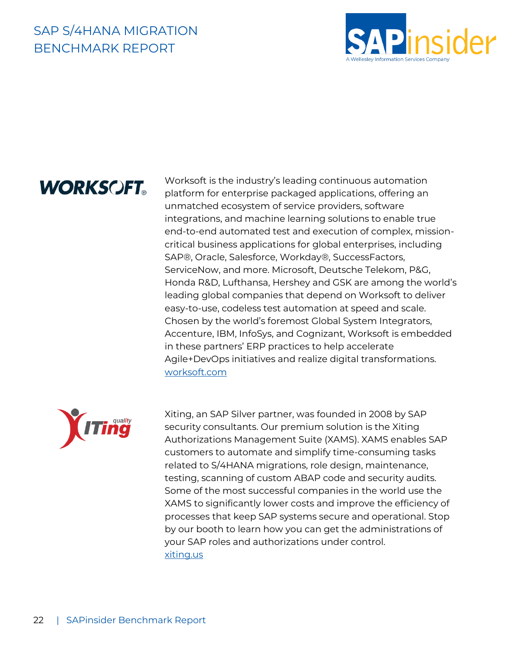

## **WORKSCFT.**

Worksoft is the industry's leading continuous automation platform for enterprise packaged applications, offering an unmatched ecosystem of service providers, software integrations, and machine learning solutions to enable true end-to-end automated test and execution of complex, missioncritical business applications for global enterprises, including SAP®, Oracle, Salesforce, Workday®, SuccessFactors, ServiceNow, and more. Microsoft, Deutsche Telekom, P&G, Honda R&D, Lufthansa, Hershey and GSK are among the world's leading global companies that depend on Worksoft to deliver easy-to-use, codeless test automation at speed and scale. Chosen by the world's foremost Global System Integrators, Accenture, IBM, InfoSys, and Cognizant, Worksoft is embedded in these partners' ERP practices to help accelerate Agile+DevOps initiatives and realize digital transformations. [worksoft.com](https://www.worksoft.com/)



Xiting, an SAP Silver partner, was founded in 2008 by SAP security consultants. Our premium solution is the Xiting Authorizations Management Suite (XAMS). XAMS enables SAP customers to automate and simplify time-consuming tasks related to S/4HANA migrations, role design, maintenance, testing, scanning of custom ABAP code and security audits. Some of the most successful companies in the world use the XAMS to significantly lower costs and improve the efficiency of processes that keep SAP systems secure and operational. Stop by our booth to learn how you can get the administrations of your SAP roles and authorizations under control. [xiting.us](https://xiting.us/)